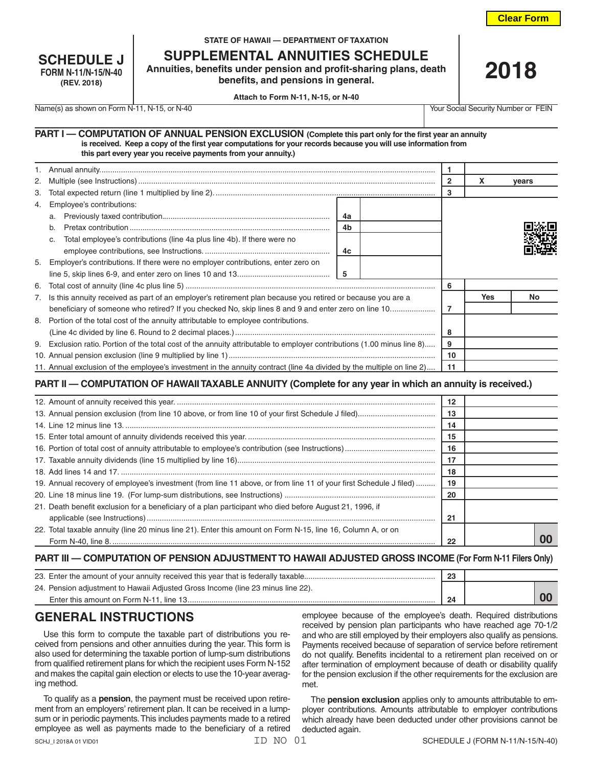**Clear Form**

| <b>SCHEDULE J</b>   |
|---------------------|
| FORM N-11/N-15/N-40 |
| (REV. 2018)         |

#### **STATE OF HAWAII — DEPARTMENT OF TAXATION**

**SUPPLEMENTAL ANNUITIES SCHEDULE**

**Annuities, benefits under pension and profit-sharing plans, death benefits, and pensions in general.**

**2018**

**Attach to Form N-11, N-15, or N-40**

Name(s) as shown on Form N-11, N-15, or N-40 Your Social Security Number or FEIN

| PART I - COMPUTATION OF ANNUAL PENSION EXCLUSION (Complete this part only for the first year an annuity        |  |
|----------------------------------------------------------------------------------------------------------------|--|
| is received. Keep a copy of the first year computations for your records because you will use information from |  |
| this part every year you receive payments from your annuity.)                                                  |  |

|    |                                                                                                                         |    | x          | vears |
|----|-------------------------------------------------------------------------------------------------------------------------|----|------------|-------|
| 3. |                                                                                                                         |    |            |       |
| 4. | Employee's contributions:                                                                                               |    |            |       |
|    | 4a<br>a.                                                                                                                |    |            |       |
|    | 4 <sub>b</sub><br>b.                                                                                                    |    |            |       |
|    | Total employee's contributions (line 4a plus line 4b). If there were no<br>C.                                           |    |            |       |
|    | 4c                                                                                                                      |    |            |       |
|    | 5. Employer's contributions. If there were no employer contributions, enter zero on                                     |    |            |       |
|    | - 5                                                                                                                     |    |            |       |
| 6. |                                                                                                                         | 6  |            |       |
|    | 7. Is this annuity received as part of an employer's retirement plan because you retired or because you are a           |    | <b>Yes</b> | No.   |
|    |                                                                                                                         | 7  |            |       |
|    | 8. Portion of the total cost of the annuity attributable to employee contributions.                                     |    |            |       |
|    |                                                                                                                         | 8  |            |       |
|    | 9. Exclusion ratio. Portion of the total cost of the annuity attributable to employer contributions (1.00 minus line 8) | 9  |            |       |
|    |                                                                                                                         | 10 |            |       |
|    | 11. Annual exclusion of the employee's investment in the annuity contract (line 4a divided by the multiple on line 2)   | 11 |            |       |

## **PART II — COMPUTATION OF HAWAII TAXABLE ANNUITY (Complete for any year in which an annuity is received.)**

|                                                                                                                   | 12 |  |
|-------------------------------------------------------------------------------------------------------------------|----|--|
|                                                                                                                   | 13 |  |
|                                                                                                                   | 14 |  |
|                                                                                                                   | 15 |  |
|                                                                                                                   | 16 |  |
|                                                                                                                   | 17 |  |
|                                                                                                                   | 18 |  |
| 19. Annual recovery of employee's investment (from line 11 above, or from line 11 of your first Schedule J filed) | 19 |  |
|                                                                                                                   | 20 |  |
| 21. Death benefit exclusion for a beneficiary of a plan participant who died before August 21, 1996, if           |    |  |
|                                                                                                                   | 21 |  |
| 22. Total taxable annuity (line 20 minus line 21). Enter this amount on Form N-15, line 16, Column A, or on       |    |  |
|                                                                                                                   | 22 |  |

#### **PART III — COMPUTATION OF PENSION ADJUSTMENT TO HAWAII ADJUSTED GROSS INCOME (For Form N-11 Filers Only)**

| 23. Enter the amount of your annuity received this year that is federally taxable | 23 |  |
|-----------------------------------------------------------------------------------|----|--|
| 24. Pension adjustment to Hawaii Adjusted Gross Income (line 23 minus line 22).   |    |  |
|                                                                                   | 24 |  |

# **GENERAL INSTRUCTIONS**

Use this form to compute the taxable part of distributions you received from pensions and other annuities during the year. This form is also used for determining the taxable portion of lump-sum distributions from qualified retirement plans for which the recipient uses Form N-152 and makes the capital gain election or elects to use the 10-year averaging method.

To qualify as a **pension**, the payment must be received upon retirement from an employers' retirement plan. It can be received in a lumpsum or in periodic payments. This includes payments made to a retired employee as well as payments made to the beneficiary of a retired

employee because of the employee's death. Required distributions received by pension plan participants who have reached age 70-1/2 and who are still employed by their employers also qualify as pensions. Payments received because of separation of service before retirement do not qualify. Benefits incidental to a retirement plan received on or after termination of employment because of death or disability qualify for the pension exclusion if the other requirements for the exclusion are met.

The **pension exclusion** applies only to amounts attributable to employer contributions. Amounts attributable to employer contributions which already have been deducted under other provisions cannot be deducted again.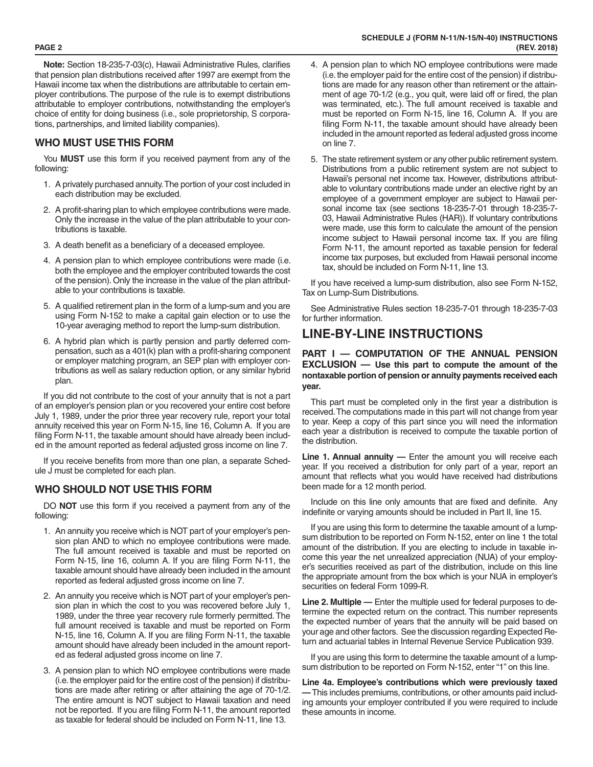**Note:** Section 18-235-7-03(c), Hawaii Administrative Rules, clarifies that pension plan distributions received after 1997 are exempt from the Hawaii income tax when the distributions are attributable to certain em ployer contributions. The purpose of the rule is to exempt distributions attributable to employer contributions, notwithstanding the employer's choice of entity for doing business (i.e., sole proprietorship, S corpora tions, partnerships, and limited liability companies).

## **WHO MUST USE THIS FORM**

You **MUST** use this form if you received payment from any of the following:

- 1. A privately purchased annuity. The portion of your cost included in each distribution may be excluded.
- 2. A profit-sharing plan to which employee contributions were made. Only the increase in the value of the plan attributable to your con tributions is taxable.
- 3. A death benefit as a beneficiary of a deceased employee.
- 4. A pension plan to which employee contributions were made (i.e. both the employee and the employer contributed towards the cost of the pension). Only the increase in the value of the plan attribut able to your contributions is taxable.
- 5. A qualified retirement plan in the form of a lump-sum and you are using Form N-152 to make a capital gain election or to use the 10-year averaging method to report the lump-sum distribution.
- 6. A hybrid plan which is partly pension and partly deferred com pensation, such as a 401(k) plan with a profit-sharing component or employer matching program, an SEP plan with employer con tributions as well as salary reduction option, or any similar hybrid plan.

If you did not contribute to the cost of your annuity that is not a part of an employer's pension plan or you recovered your entire cost before July 1, 1989, under the prior three year recovery rule, report your total annuity received this year on Form N-15, line 16, Column A. If you are filing Form N-11, the taxable amount should have already been includ ed in the amount reported as federal adjusted gross income on line 7.

If you receive benefits from more than one plan, a separate Sched ule J must be completed for each plan.

## **WHO SHOULD NOT USE THIS FORM**

DO **NOT** use this form if you received a payment from any of the following:

- 1. An annuity you receive which is NOT part of your employer's pen sion plan AND to which no employee contributions were made. The full amount received is taxable and must be reported on Form N-15, line 16, column A. If you are filing Form N-11, the taxable amount should have already been included in the amount reported as federal adjusted gross income on line 7.
- 2. An annuity you receive which is NOT part of your employer's pen sion plan in which the cost to you was recovered before July 1, 1989, under the three year recovery rule formerly permitted. The full amount received is taxable and must be reported on Form N-15, line 16, Column A. If you are filing Form N-11, the taxable amount should have already been included in the amount report ed as federal adjusted gross income on line 7.
- 3. A pension plan to which NO employee contributions were made (i.e. the employer paid for the entire cost of the pension) if distribu tions are made after retiring or after attaining the age of 70-1/2. The entire amount is NOT subject to Hawaii taxation and need not be reported. If you are filing Form N-11, the amount reported as taxable for federal should be included on Form N-11, line 13.
- 4. A pension plan to which NO employee contributions were made (i.e. the employer paid for the entire cost of the pension) if distribu tions are made for any reason other than retirement or the attain ment of age 70-1/2 (e.g., you quit, were laid off or fired, the plan was terminated, etc.). The full amount received is taxable and must be reported on Form N-15, line 16, Column A. If you are filing Form N-11, the taxable amount should have already been included in the amount reported as federal adjusted gross income on line 7.
- 5. The state retirement system or any other public retirement system. Distributions from a public retirement system are not subject to Hawaii's personal net income tax. However, distributions attribut able to voluntary contributions made under an elective right by an employee of a government employer are subject to Hawaii per sonal income tax (see sections 18-235-7-01 through 18-235-7- 03, Hawaii Administrative Rules (HAR)). If voluntary contributions were made, use this form to calculate the amount of the pension income subject to Hawaii personal income tax. If you are filing Form N-11, the amount reported as taxable pension for federal income tax purposes, but excluded from Hawaii personal income tax, should be included on Form N-11, line 13.

If you have received a lump-sum distribution, also see Form N-152, Tax on Lump-Sum Distributions.

See Administrative Rules section 18-235-7-01 through 18-235-7-03 for further information.

## **LINE-BY-LINE INSTRUCTIONS**

#### **PART I — COMPUTATION OF THE ANNUAL PENSION EXCLUSION — Use this part to compute the amount of the nontaxable portion of pension or annuity payments received each year.**

This part must be completed only in the first year a distribution is received. The computations made in this part will not change from year to year. Keep a copy of this part since you will need the information each year a distribution is received to compute the taxable portion of the distribution.

**Line 1. Annual annuity —** Enter the amount you will receive each year. If you received a distribution for only part of a year, report an amount that reflects what you would have received had distributions been made for a 12 month period.

Include on this line only amounts that are fixed and definite. Any indefinite or varying amounts should be included in Part II, line 15.

If you are using this form to determine the taxable amount of a lumpsum distribution to be reported on Form N-152, enter on line 1 the total amount of the distribution. If you are electing to include in taxable in come this year the net unrealized appreciation (NUA) of your employ er's securities received as part of the distribution, include on this line the appropriate amount from the box which is your NUA in employer's securities on federal Form 1099-R.

**Line 2. Multiple —** Enter the multiple used for federal purposes to de termine the expected return on the contract. This number represents the expected number of years that the annuity will be paid based on your age and other factors. See the discussion regarding Expected Re turn and actuarial tables in Internal Revenue Service Publication 939.

If you are using this form to determine the taxable amount of a lumpsum distribution to be reported on Form N-152, enter "1" on this line.

**Line 4a. Employee's contributions which were previously taxed —** This includes premiums, contributions, or other amounts paid including amounts your employer contributed if you were required to include these amounts in income.